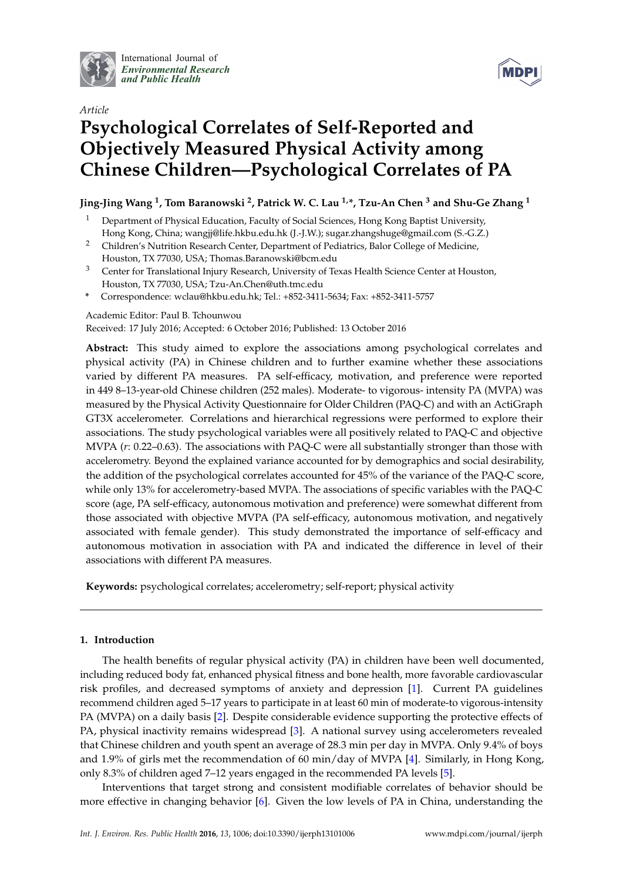

International Journal of *[Environmental Research](http://www.mdpi.com/journal/ijerph) and Public Health*



# *Article* **Psychological Correlates of Self-Reported and Objectively Measured Physical Activity among Chinese Children—Psychological Correlates of PA**

# **Jing-Jing Wang <sup>1</sup> , Tom Baranowski <sup>2</sup> , Patrick W. C. Lau 1,\*, Tzu-An Chen <sup>3</sup> and Shu-Ge Zhang <sup>1</sup>**

- <sup>1</sup> Department of Physical Education, Faculty of Social Sciences, Hong Kong Baptist University, Hong Kong, China; wangjj@life.hkbu.edu.hk (J.-J.W.); sugar.zhangshuge@gmail.com (S.-G.Z.)
- <sup>2</sup> Children's Nutrition Research Center, Department of Pediatrics, Balor College of Medicine, Houston, TX 77030, USA; Thomas.Baranowski@bcm.edu
- <sup>3</sup> Center for Translational Injury Research, University of Texas Health Science Center at Houston, Houston, TX 77030, USA; Tzu-An.Chen@uth.tmc.edu
- **\*** Correspondence: wclau@hkbu.edu.hk; Tel.: +852-3411-5634; Fax: +852-3411-5757

Academic Editor: Paul B. Tchounwou

Received: 17 July 2016; Accepted: 6 October 2016; Published: 13 October 2016

**Abstract:** This study aimed to explore the associations among psychological correlates and physical activity (PA) in Chinese children and to further examine whether these associations varied by different PA measures. PA self-efficacy, motivation, and preference were reported in 449 8–13-year-old Chinese children (252 males). Moderate- to vigorous- intensity PA (MVPA) was measured by the Physical Activity Questionnaire for Older Children (PAQ-C) and with an ActiGraph GT3X accelerometer. Correlations and hierarchical regressions were performed to explore their associations. The study psychological variables were all positively related to PAQ-C and objective MVPA (*r*: 0.22–0.63). The associations with PAQ-C were all substantially stronger than those with accelerometry. Beyond the explained variance accounted for by demographics and social desirability, the addition of the psychological correlates accounted for 45% of the variance of the PAQ-C score, while only 13% for accelerometry-based MVPA. The associations of specific variables with the PAQ-C score (age, PA self-efficacy, autonomous motivation and preference) were somewhat different from those associated with objective MVPA (PA self-efficacy, autonomous motivation, and negatively associated with female gender). This study demonstrated the importance of self-efficacy and autonomous motivation in association with PA and indicated the difference in level of their associations with different PA measures.

**Keywords:** psychological correlates; accelerometry; self-report; physical activity

# **1. Introduction**

The health benefits of regular physical activity (PA) in children have been well documented, including reduced body fat, enhanced physical fitness and bone health, more favorable cardiovascular risk profiles, and decreased symptoms of anxiety and depression [\[1\]](#page-8-0). Current PA guidelines recommend children aged 5–17 years to participate in at least 60 min of moderate-to vigorous-intensity PA (MVPA) on a daily basis [\[2\]](#page-8-1). Despite considerable evidence supporting the protective effects of PA, physical inactivity remains widespread [\[3\]](#page-9-0). A national survey using accelerometers revealed that Chinese children and youth spent an average of 28.3 min per day in MVPA. Only 9.4% of boys and 1.9% of girls met the recommendation of 60 min/day of MVPA [\[4\]](#page-9-1). Similarly, in Hong Kong, only 8.3% of children aged 7–12 years engaged in the recommended PA levels [\[5\]](#page-9-2).

Interventions that target strong and consistent modifiable correlates of behavior should be more effective in changing behavior [\[6\]](#page-9-3). Given the low levels of PA in China, understanding the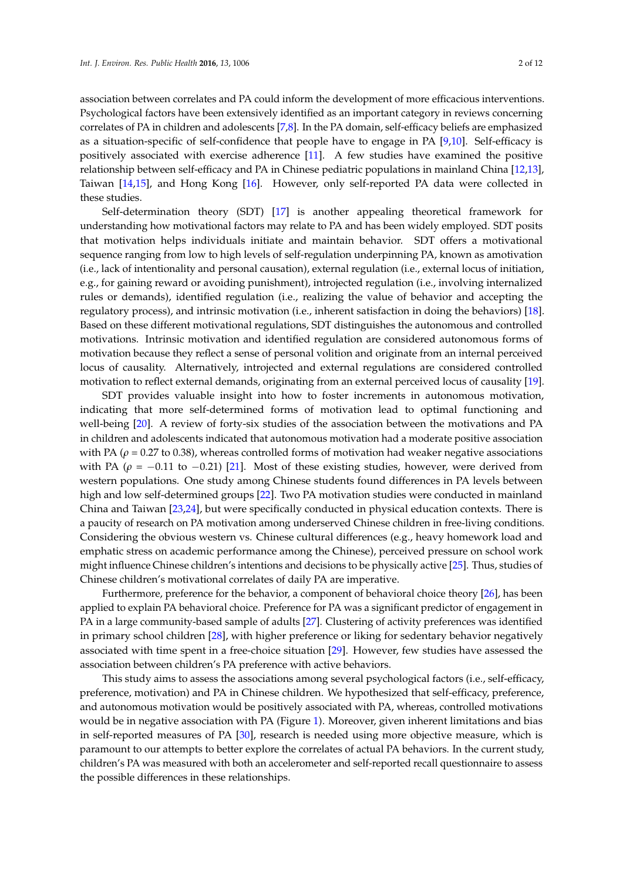association between correlates and PA could inform the development of more efficacious interventions. Psychological factors have been extensively identified as an important category in reviews concerning correlates of PA in children and adolescents [\[7](#page-9-4)[,8\]](#page-9-5). In the PA domain, self-efficacy beliefs are emphasized as a situation-specific of self-confidence that people have to engage in PA [\[9](#page-9-6)[,10\]](#page-9-7). Self-efficacy is positively associated with exercise adherence [\[11\]](#page-9-8). A few studies have examined the positive relationship between self-efficacy and PA in Chinese pediatric populations in mainland China [\[12](#page-9-9)[,13\]](#page-9-10), Taiwan [\[14,](#page-9-11)[15\]](#page-9-12), and Hong Kong [\[16\]](#page-9-13). However, only self-reported PA data were collected in these studies.

Self-determination theory (SDT) [\[17\]](#page-9-14) is another appealing theoretical framework for understanding how motivational factors may relate to PA and has been widely employed. SDT posits that motivation helps individuals initiate and maintain behavior. SDT offers a motivational sequence ranging from low to high levels of self-regulation underpinning PA, known as amotivation (i.e., lack of intentionality and personal causation), external regulation (i.e., external locus of initiation, e.g., for gaining reward or avoiding punishment), introjected regulation (i.e., involving internalized rules or demands), identified regulation (i.e., realizing the value of behavior and accepting the regulatory process), and intrinsic motivation (i.e., inherent satisfaction in doing the behaviors) [\[18\]](#page-9-15). Based on these different motivational regulations, SDT distinguishes the autonomous and controlled motivations. Intrinsic motivation and identified regulation are considered autonomous forms of motivation because they reflect a sense of personal volition and originate from an internal perceived locus of causality. Alternatively, introjected and external regulations are considered controlled motivation to reflect external demands, originating from an external perceived locus of causality [\[19\]](#page-9-16).

SDT provides valuable insight into how to foster increments in autonomous motivation, indicating that more self-determined forms of motivation lead to optimal functioning and well-being [\[20\]](#page-9-17). A review of forty-six studies of the association between the motivations and PA in children and adolescents indicated that autonomous motivation had a moderate positive association with PA ( $\rho$  = 0.27 to 0.38), whereas controlled forms of motivation had weaker negative associations with PA ( $\rho = -0.11$  to  $-0.21$ ) [\[21\]](#page-9-18). Most of these existing studies, however, were derived from western populations. One study among Chinese students found differences in PA levels between high and low self-determined groups [\[22\]](#page-9-19). Two PA motivation studies were conducted in mainland China and Taiwan [\[23](#page-9-20)[,24\]](#page-9-21), but were specifically conducted in physical education contexts. There is a paucity of research on PA motivation among underserved Chinese children in free-living conditions. Considering the obvious western vs. Chinese cultural differences (e.g., heavy homework load and emphatic stress on academic performance among the Chinese), perceived pressure on school work might influence Chinese children's intentions and decisions to be physically active [\[25\]](#page-9-22). Thus, studies of Chinese children's motivational correlates of daily PA are imperative.

Furthermore, preference for the behavior, a component of behavioral choice theory [\[26\]](#page-10-0), has been applied to explain PA behavioral choice. Preference for PA was a significant predictor of engagement in PA in a large community-based sample of adults [\[27\]](#page-10-1). Clustering of activity preferences was identified in primary school children [\[28\]](#page-10-2), with higher preference or liking for sedentary behavior negatively associated with time spent in a free-choice situation [\[29\]](#page-10-3). However, few studies have assessed the association between children's PA preference with active behaviors.

This study aims to assess the associations among several psychological factors (i.e., self-efficacy, preference, motivation) and PA in Chinese children. We hypothesized that self-efficacy, preference, and autonomous motivation would be positively associated with PA, whereas, controlled motivations would be in negative association with PA (Figure [1\)](#page-2-0). Moreover, given inherent limitations and bias in self-reported measures of PA [\[30\]](#page-10-4), research is needed using more objective measure, which is paramount to our attempts to better explore the correlates of actual PA behaviors. In the current study, children's PA was measured with both an accelerometer and self-reported recall questionnaire to assess the possible differences in these relationships.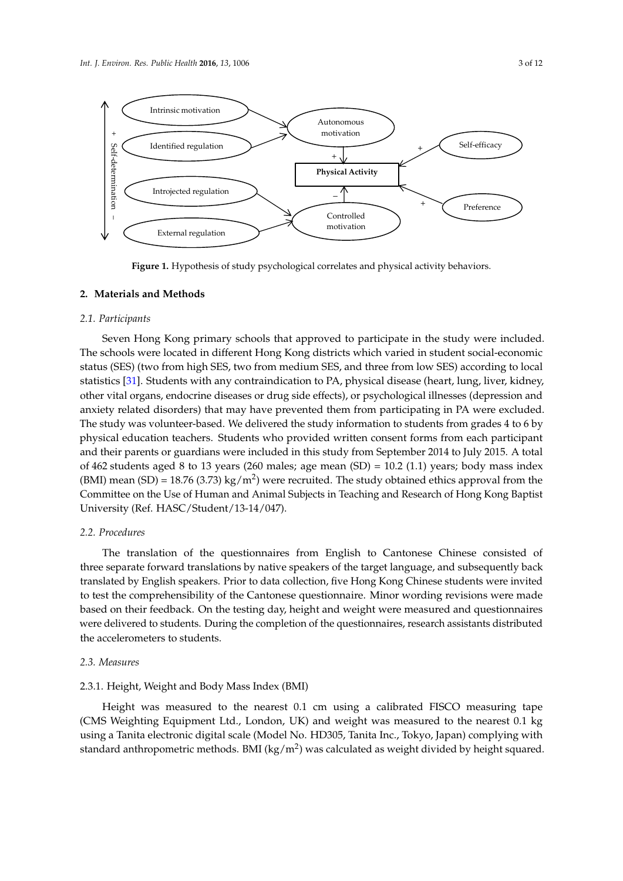<span id="page-2-0"></span>

**Figure 1.** Hypothesis of study psychological correlates and physical activity behaviors. **Figure 1.** Hypothesis of study psychological correlates and physical activity behaviors.

# **2. Materials and Methods 2. Materials and Methods**

# *2.1. Participants 2.1. Participants*

Seven Hong Kong primary schools that approved to participate in the study were included. The Seven Hong Kong primary schools that approved to participate in the study were included. The schools were located in different Hong Kong districts which varied in student social-economic<br>
The schools were located in different Hong Kong districts which varied in student social-economic status (SES) (two from high SES, two from medium SES, and three from low SES) according to local statistics [\[31\]](#page-10-5). Students with any contraindication to PA, physical disease (heart, lung, liver, kidney, other vital organs, endocrine diseases or drug side effects), or psychological illnesses (depression and anxiety related disorders) that may have prevented them from participating in PA were excluded. The study was volunteer-based. We delivered the study information to students from grades 4 to 6 by physical education teachers. Students who provided written consent forms from each participant and their parents or guardians were included in this study from September 2014 to July 2015. A total of 462 students aged 8 to 13 years (260 males; age mean (SD) = 10.2 (1.1) years; body mass index (BMI) mean (SD) = 18.76 (3.73) kg/m<sup>2</sup>) were recruited. The study obtained ethics approval from the Committee on the Use of Human and Animal Subjects in Teaching and Research of Hong Kong Baptist *2.2. Procedures*  University (Ref. HASC/Student/13-14/047).

#### $T_{\text{relures}}$ *2.2. Procedures*

The translation of the questionnaires from English to Cantonese Chinese consisted of three separate forward translations by native speakers of the target language, and subsequently back translated by English speakers. Prior to data collection, five Hong Kong Chinese students were invited to test the comprehensibility of the Cantonese questionnaire. Minor wording revisions were made based on their feedback. On the testing day, height and weight were measured and questionnaires were delivered to students. During the completion of the questionnaires, research assistants distributed were delivered to students. During the completion of the questionnaires, research assistants distributed *2.3. Measures*  the accelerometers to students.

#### $2.3.1$   $\mu$ *2.3. Measures*

#### 2.3.1. Height, Weight and Body Mass Index (BMI)

Height was measured to the nearest 0.1 cm using a calibrated FISCO measuring tape  $T_{\rm crit}$  and  $T_{\rm crit}$  and  $T_{\rm crit}$  and  $T_{\rm crit}$  and  $T_{\rm crit}$  and  $T_{\rm crit}$  is a complete with standard  $\sim 1$ (CMS Weighting Equipment Ltd., London, UK) and weight was measured to the nearest 0.1 kg<br>
(CMS Weighting Equipment Ltd., London, UK) and weight was measured to the nearest 0.1 kg standard anthropometric methods. BMI (kg/m<sup>2</sup>) was calculated as weight divided by height squared. using a Tanita electronic digital scale (Model No. HD305, Tanita Inc., Tokyo, Japan) complying with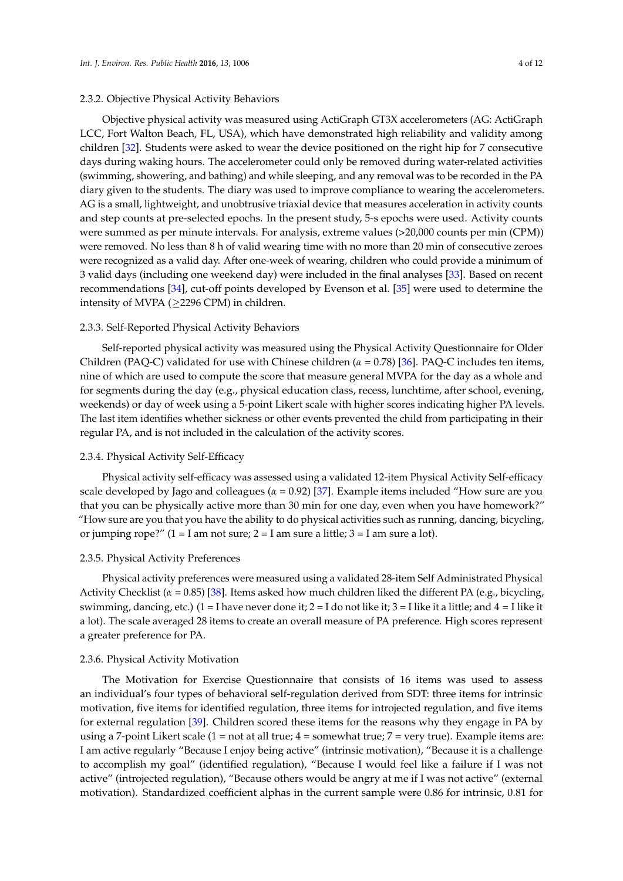#### 2.3.2. Objective Physical Activity Behaviors

Objective physical activity was measured using ActiGraph GT3X accelerometers (AG: ActiGraph LCC, Fort Walton Beach, FL, USA), which have demonstrated high reliability and validity among children [\[32\]](#page-10-6). Students were asked to wear the device positioned on the right hip for 7 consecutive days during waking hours. The accelerometer could only be removed during water-related activities (swimming, showering, and bathing) and while sleeping, and any removal was to be recorded in the PA diary given to the students. The diary was used to improve compliance to wearing the accelerometers. AG is a small, lightweight, and unobtrusive triaxial device that measures acceleration in activity counts and step counts at pre-selected epochs. In the present study, 5-s epochs were used. Activity counts were summed as per minute intervals. For analysis, extreme values (>20,000 counts per min (CPM)) were removed. No less than 8 h of valid wearing time with no more than 20 min of consecutive zeroes were recognized as a valid day. After one-week of wearing, children who could provide a minimum of 3 valid days (including one weekend day) were included in the final analyses [\[33\]](#page-10-7). Based on recent recommendations [\[34\]](#page-10-8), cut-off points developed by Evenson et al. [\[35\]](#page-10-9) were used to determine the intensity of MVPA ( $\geq$ 2296 CPM) in children.

#### 2.3.3. Self-Reported Physical Activity Behaviors

Self-reported physical activity was measured using the Physical Activity Questionnaire for Older Children (PAQ-C) validated for use with Chinese children (*α* = 0.78) [\[36\]](#page-10-10). PAQ-C includes ten items, nine of which are used to compute the score that measure general MVPA for the day as a whole and for segments during the day (e.g., physical education class, recess, lunchtime, after school, evening, weekends) or day of week using a 5-point Likert scale with higher scores indicating higher PA levels. The last item identifies whether sickness or other events prevented the child from participating in their regular PA, and is not included in the calculation of the activity scores.

#### 2.3.4. Physical Activity Self-Efficacy

Physical activity self-efficacy was assessed using a validated 12-item Physical Activity Self-efficacy scale developed by Jago and colleagues ( $\alpha$  = 0.92) [\[37\]](#page-10-11). Example items included "How sure are you that you can be physically active more than 30 min for one day, even when you have homework?" "How sure are you that you have the ability to do physical activities such as running, dancing, bicycling, or jumping rope?"  $(1 – I$  am not sure;  $2 – I$  am sure a little;  $3 – I$  am sure a lot).

### 2.3.5. Physical Activity Preferences

Physical activity preferences were measured using a validated 28-item Self Administrated Physical Activity Checklist ( $\alpha$  = 0.85) [\[38\]](#page-10-12). Items asked how much children liked the different PA (e.g., bicycling, swimming, dancing, etc.) (1 = I have never done it; 2 = I do not like it; 3 = I like it a little; and 4 = I like it a lot). The scale averaged 28 items to create an overall measure of PA preference. High scores represent a greater preference for PA.

#### 2.3.6. Physical Activity Motivation

The Motivation for Exercise Questionnaire that consists of 16 items was used to assess an individual's four types of behavioral self-regulation derived from SDT: three items for intrinsic motivation, five items for identified regulation, three items for introjected regulation, and five items for external regulation [\[39\]](#page-10-13). Children scored these items for the reasons why they engage in PA by using a 7-point Likert scale  $(1 = not at all true; 4 = somewhat true; 7 = very true)$ . Example items are: I am active regularly "Because I enjoy being active" (intrinsic motivation), "Because it is a challenge to accomplish my goal" (identified regulation), "Because I would feel like a failure if I was not active" (introjected regulation), "Because others would be angry at me if I was not active" (external motivation). Standardized coefficient alphas in the current sample were 0.86 for intrinsic, 0.81 for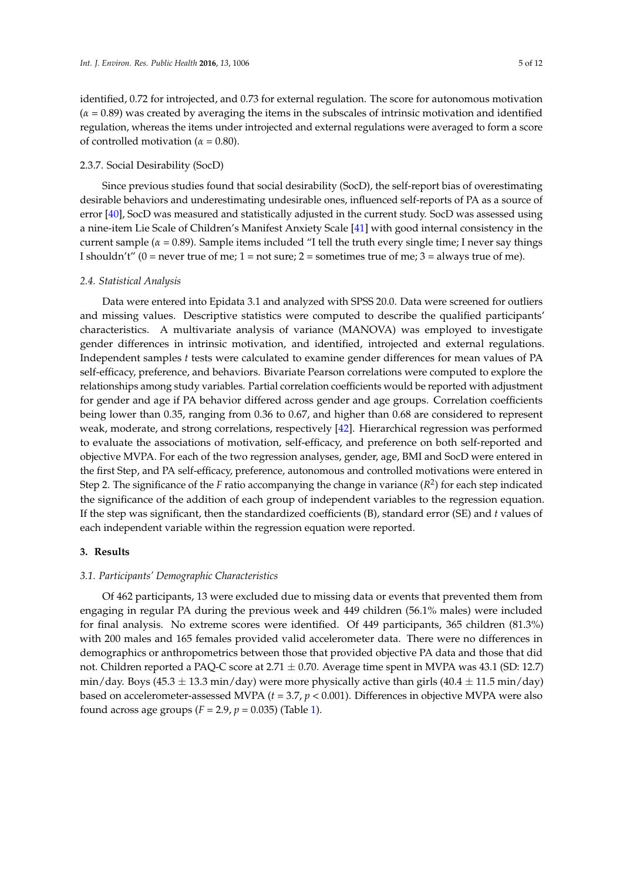identified, 0.72 for introjected, and 0.73 for external regulation. The score for autonomous motivation (*α* = 0.89) was created by averaging the items in the subscales of intrinsic motivation and identified regulation, whereas the items under introjected and external regulations were averaged to form a score of controlled motivation ( $\alpha$  = 0.80).

### 2.3.7. Social Desirability (SocD)

Since previous studies found that social desirability (SocD), the self-report bias of overestimating desirable behaviors and underestimating undesirable ones, influenced self-reports of PA as a source of error [\[40\]](#page-10-14), SocD was measured and statistically adjusted in the current study. SocD was assessed using a nine-item Lie Scale of Children's Manifest Anxiety Scale [\[41\]](#page-10-15) with good internal consistency in the current sample ( $\alpha$  = 0.89). Sample items included "I tell the truth every single time; I never say things I shouldn't" ( $0 =$  never true of me;  $1 =$  not sure;  $2 =$  sometimes true of me;  $3 =$  always true of me).

#### *2.4. Statistical Analysis*

Data were entered into Epidata 3.1 and analyzed with SPSS 20.0. Data were screened for outliers and missing values. Descriptive statistics were computed to describe the qualified participants' characteristics. A multivariate analysis of variance (MANOVA) was employed to investigate gender differences in intrinsic motivation, and identified, introjected and external regulations. Independent samples *t* tests were calculated to examine gender differences for mean values of PA self-efficacy, preference, and behaviors. Bivariate Pearson correlations were computed to explore the relationships among study variables. Partial correlation coefficients would be reported with adjustment for gender and age if PA behavior differed across gender and age groups. Correlation coefficients being lower than 0.35, ranging from 0.36 to 0.67, and higher than 0.68 are considered to represent weak, moderate, and strong correlations, respectively [\[42\]](#page-10-16). Hierarchical regression was performed to evaluate the associations of motivation, self-efficacy, and preference on both self-reported and objective MVPA. For each of the two regression analyses, gender, age, BMI and SocD were entered in the first Step, and PA self-efficacy, preference, autonomous and controlled motivations were entered in Step 2. The significance of the *F* ratio accompanying the change in variance (*R* 2 ) for each step indicated the significance of the addition of each group of independent variables to the regression equation. If the step was significant, then the standardized coefficients (B), standard error (SE) and *t* values of each independent variable within the regression equation were reported.

#### **3. Results**

#### *3.1. Participants' Demographic Characteristics*

Of 462 participants, 13 were excluded due to missing data or events that prevented them from engaging in regular PA during the previous week and 449 children (56.1% males) were included for final analysis. No extreme scores were identified. Of 449 participants, 365 children (81.3%) with 200 males and 165 females provided valid accelerometer data. There were no differences in demographics or anthropometrics between those that provided objective PA data and those that did not. Children reported a PAQ-C score at  $2.71 \pm 0.70$ . Average time spent in MVPA was 43.1 (SD: 12.7) min/day. Boys (45.3  $\pm$  13.3 min/day) were more physically active than girls (40.4  $\pm$  11.5 min/day) based on accelerometer-assessed MVPA (*t* = 3.7, *p* < 0.001). Differences in objective MVPA were also found across age groups  $(F = 2.9, p = 0.035)$  (Table [1\)](#page-5-0).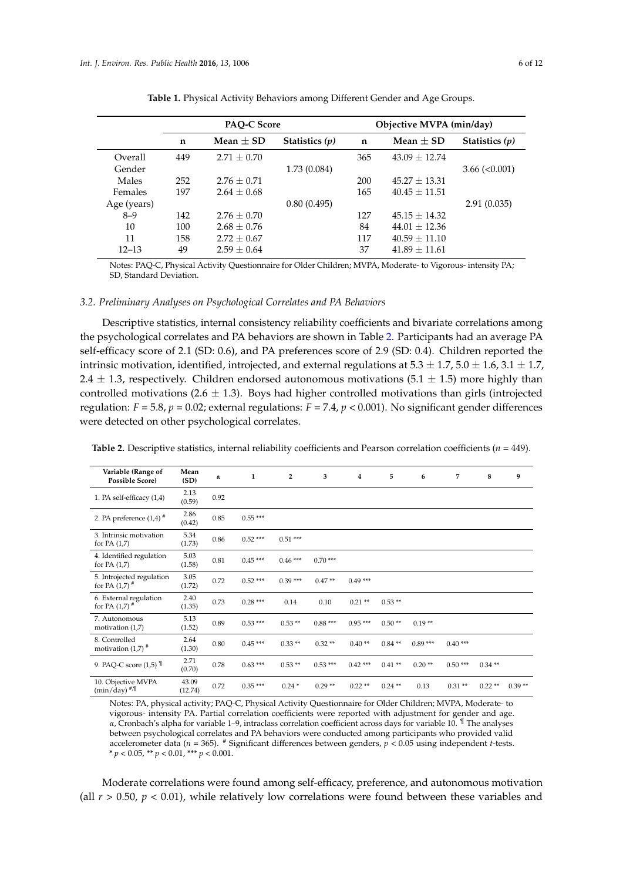<span id="page-5-0"></span>

|             |                 |                  | Objective MVPA (min/day) |                   |                      |  |  |  |
|-------------|-----------------|------------------|--------------------------|-------------------|----------------------|--|--|--|
| $\mathbf n$ | Mean $\pm$ SD   | Statistics $(p)$ | $\mathbf n$              | Mean $\pm$ SD     | Statistics $(p)$     |  |  |  |
| 449         | $2.71 + 0.70$   |                  | 365                      | $43.09 + 12.74$   |                      |  |  |  |
|             |                 | 1.73(0.084)      |                          |                   | $3.66 \approx 0.001$ |  |  |  |
| 252         | $2.76 + 0.71$   |                  | 200                      | $45.27 + 13.31$   |                      |  |  |  |
| 197         | $2.64 + 0.68$   |                  | 165                      | $40.45 + 11.51$   |                      |  |  |  |
|             |                 | 0.80(0.495)      |                          |                   | 2.91(0.035)          |  |  |  |
| 142         | $2.76 + 0.70$   |                  | 127                      | $45.15 + 14.32$   |                      |  |  |  |
| 100         | $2.68 \pm 0.76$ |                  | 84                       | $44.01 \pm 12.36$ |                      |  |  |  |
| 158         | $2.72 \pm 0.67$ |                  | 117                      | $40.59 \pm 11.10$ |                      |  |  |  |
| 49          | $2.59 + 0.64$   |                  | 37                       | $41.89 + 11.61$   |                      |  |  |  |
|             |                 |                  | PAQ-C Score              |                   |                      |  |  |  |

**Table 1.** Physical Activity Behaviors among Different Gender and Age Groups.

Notes: PAQ-C, Physical Activity Questionnaire for Older Children; MVPA, Moderate- to Vigorous- intensity PA; SD, Standard Deviation.

## *3.2. Preliminary Analyses on Psychological Correlates and PA Behaviors*

Descriptive statistics, internal consistency reliability coefficients and bivariate correlations among the psychological correlates and PA behaviors are shown in Table [2.](#page-5-1) Participants had an average PA self-efficacy score of 2.1 (SD: 0.6), and PA preferences score of 2.9 (SD: 0.4). Children reported the intrinsic motivation, identified, introjected, and external regulations at  $5.3 \pm 1.7$ ,  $5.0 \pm 1.6$ ,  $3.1 \pm 1.7$ , 2.4  $\pm$  1.3, respectively. Children endorsed autonomous motivations (5.1  $\pm$  1.5) more highly than controlled motivations (2.6  $\pm$  1.3). Boys had higher controlled motivations than girls (introjected regulation:  $F = 5.8$ ,  $p = 0.02$ ; external regulations:  $F = 7.4$ ,  $p < 0.001$ ). No significant gender differences were detected on other psychological correlates.

<span id="page-5-1"></span>

| <b>Table 2.</b> Descriptive statistics, internal reliability coefficients and Pearson correlation coefficients ( $n = 449$ ). |  |  |  |
|-------------------------------------------------------------------------------------------------------------------------------|--|--|--|
|-------------------------------------------------------------------------------------------------------------------------------|--|--|--|

| Variable (Range of<br><b>Possible Score)</b>             | Mean<br>(SD)     | α    | 1         | $\overline{\mathbf{2}}$ | 3         | 4         | 5        | 6         | 7         | 8        | 9        |
|----------------------------------------------------------|------------------|------|-----------|-------------------------|-----------|-----------|----------|-----------|-----------|----------|----------|
| 1. PA self-efficacy (1,4)                                | 2.13<br>(0.59)   | 0.92 |           |                         |           |           |          |           |           |          |          |
| 2. PA preference $(1,4)$ <sup>#</sup>                    | 2.86<br>(0.42)   | 0.85 | $0.55***$ |                         |           |           |          |           |           |          |          |
| 3. Intrinsic motivation<br>for PA $(1,7)$                | 5.34<br>(1.73)   | 0.86 | $0.52***$ | $0.51***$               |           |           |          |           |           |          |          |
| 4. Identified regulation<br>for PA $(1,7)$               | 5.03<br>(1.58)   | 0.81 | $0.45***$ | $0.46***$               | $0.70***$ |           |          |           |           |          |          |
| 5. Introjected regulation<br>for PA $(1,7)$ <sup>#</sup> | 3.05<br>(1.72)   | 0.72 | $0.52***$ | $0.39***$               | $0.47**$  | $0.49***$ |          |           |           |          |          |
| 6. External regulation<br>for PA $(1,7)$ <sup>#</sup>    | 2.40<br>(1.35)   | 0.73 | $0.28***$ | 0.14                    | 0.10      | $0.21**$  | $0.53**$ |           |           |          |          |
| 7. Autonomous<br>motivation $(1,7)$                      | 5.13<br>(1.52)   | 0.89 | $0.53***$ | $0.53**$                | $0.88***$ | $0.95***$ | $0.50**$ | $0.19**$  |           |          |          |
| 8. Controlled<br>motivation $(1,7)$ <sup>#</sup>         | 2.64<br>(1.30)   | 0.80 | $0.45***$ | $0.33**$                | $0.32**$  | $0.40**$  | $0.84**$ | $0.89***$ | $0.40***$ |          |          |
| 9. PAQ-C score $(1,5)$ <sup>1</sup>                      | 2.71<br>(0.70)   | 0.78 | $0.63***$ | $0.53**$                | $0.53***$ | $0.42***$ | $0.41**$ | $0.20**$  | $0.50***$ | $0.34**$ |          |
| 10. Objective MVPA<br>$(min/day)$ <sup>#,¶</sup>         | 43.09<br>(12.74) | 0.72 | $0.35***$ | $0.24*$                 | $0.29**$  | $0.22**$  | $0.24**$ | 0.13      | $0.31**$  | $0.22**$ | $0.39**$ |

Notes: PA, physical activity; PAQ-C, Physical Activity Questionnaire for Older Children; MVPA, Moderate- to vigorous- intensity PA. Partial correlation coefficients were reported with adjustment for gender and age. *α*, Cronbach's alpha for variable 1–9, intraclass correlation coefficient across days for variable 10. ¶ The analyses between psychological correlates and PA behaviors were conducted among participants who provided valid accelerometer data (*n* = 365). # Significant differences between genders, *p* < 0.05 using independent *t*-tests. \* *p* < 0.05, \*\* *p* < 0.01, \*\*\* *p* < 0.001.

Moderate correlations were found among self-efficacy, preference, and autonomous motivation (all  $r > 0.50$ ,  $p < 0.01$ ), while relatively low correlations were found between these variables and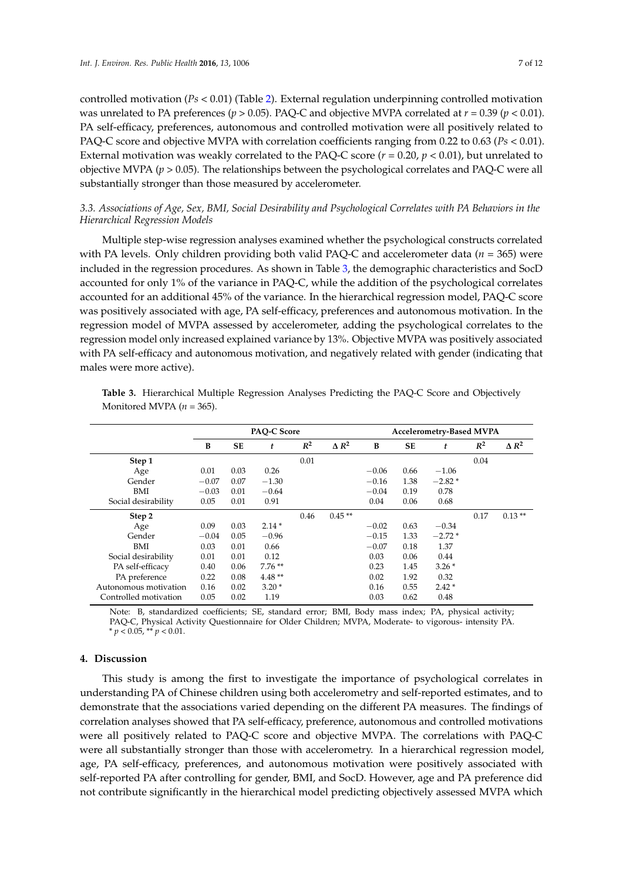controlled motivation (*Ps* < 0.01) (Table [2\)](#page-5-1). External regulation underpinning controlled motivation was unrelated to PA preferences ( $p > 0.05$ ). PAQ-C and objective MVPA correlated at  $r = 0.39$  ( $p < 0.01$ ). PA self-efficacy, preferences, autonomous and controlled motivation were all positively related to PAQ-C score and objective MVPA with correlation coefficients ranging from 0.22 to 0.63 (*Ps* < 0.01). External motivation was weakly correlated to the PAQ-C score  $(r = 0.20, p < 0.01)$ , but unrelated to objective MVPA (*p* > 0.05). The relationships between the psychological correlates and PAQ-C were all substantially stronger than those measured by accelerometer.

# *3.3. Associations of Age, Sex, BMI, Social Desirability and Psychological Correlates with PA Behaviors in the Hierarchical Regression Models*

Multiple step-wise regression analyses examined whether the psychological constructs correlated with PA levels. Only children providing both valid PAQ-C and accelerometer data ( $n = 365$ ) were included in the regression procedures. As shown in Table [3,](#page-6-0) the demographic characteristics and SocD accounted for only 1% of the variance in PAQ-C, while the addition of the psychological correlates accounted for an additional 45% of the variance. In the hierarchical regression model, PAQ-C score was positively associated with age, PA self-efficacy, preferences and autonomous motivation. In the regression model of MVPA assessed by accelerometer, adding the psychological correlates to the regression model only increased explained variance by 13%. Objective MVPA was positively associated with PA self-efficacy and autonomous motivation, and negatively related with gender (indicating that males were more active).

|                       | <b>PAO-C Score</b> |           |          |       |              | <b>Accelerometry-Based MVPA</b> |           |          |       |              |
|-----------------------|--------------------|-----------|----------|-------|--------------|---------------------------------|-----------|----------|-------|--------------|
|                       | B                  | <b>SE</b> | t        | $R^2$ | $\Delta R^2$ | B                               | <b>SE</b> | t        | $R^2$ | $\Delta R^2$ |
| Step 1                |                    |           |          | 0.01  |              |                                 |           |          | 0.04  |              |
| Age                   | 0.01               | 0.03      | 0.26     |       |              | $-0.06$                         | 0.66      | $-1.06$  |       |              |
| Gender                | $-0.07$            | 0.07      | $-1.30$  |       |              | $-0.16$                         | 1.38      | $-2.82*$ |       |              |
| BMI                   | $-0.03$            | 0.01      | $-0.64$  |       |              | $-0.04$                         | 0.19      | 0.78     |       |              |
| Social desirability   | 0.05               | 0.01      | 0.91     |       |              | 0.04                            | 0.06      | 0.68     |       |              |
| Step 2                |                    |           |          | 0.46  | $0.45**$     |                                 |           |          | 0.17  | $0.13**$     |
| Age                   | 0.09               | 0.03      | $2.14*$  |       |              | $-0.02$                         | 0.63      | $-0.34$  |       |              |
| Gender                | $-0.04$            | 0.05      | $-0.96$  |       |              | $-0.15$                         | 1.33      | $-2.72*$ |       |              |
| BMI                   | 0.03               | 0.01      | 0.66     |       |              | $-0.07$                         | 0.18      | 1.37     |       |              |
| Social desirability   | 0.01               | 0.01      | 0.12     |       |              | 0.03                            | 0.06      | 0.44     |       |              |
| PA self-efficacy      | 0.40               | 0.06      | $7.76**$ |       |              | 0.23                            | 1.45      | $3.26*$  |       |              |
| PA preference         | 0.22               | 0.08      | $4.48**$ |       |              | 0.02                            | 1.92      | 0.32     |       |              |
| Autonomous motivation | 0.16               | 0.02      | $3.20*$  |       |              | 0.16                            | 0.55      | $2.42*$  |       |              |
| Controlled motivation | 0.05               | 0.02      | 1.19     |       |              | 0.03                            | 0.62      | 0.48     |       |              |

<span id="page-6-0"></span>**Table 3.** Hierarchical Multiple Regression Analyses Predicting the PAQ-C Score and Objectively Monitored MVPA (*n* = 365).

Note: B, standardized coefficients; SE, standard error; BMI, Body mass index; PA, physical activity; PAQ-C, Physical Activity Questionnaire for Older Children; MVPA, Moderate- to vigorous- intensity PA.  $* p < 0.05, ** p < 0.01.$ 

## **4. Discussion**

This study is among the first to investigate the importance of psychological correlates in understanding PA of Chinese children using both accelerometry and self-reported estimates, and to demonstrate that the associations varied depending on the different PA measures. The findings of correlation analyses showed that PA self-efficacy, preference, autonomous and controlled motivations were all positively related to PAQ-C score and objective MVPA. The correlations with PAQ-C were all substantially stronger than those with accelerometry. In a hierarchical regression model, age, PA self-efficacy, preferences, and autonomous motivation were positively associated with self-reported PA after controlling for gender, BMI, and SocD. However, age and PA preference did not contribute significantly in the hierarchical model predicting objectively assessed MVPA which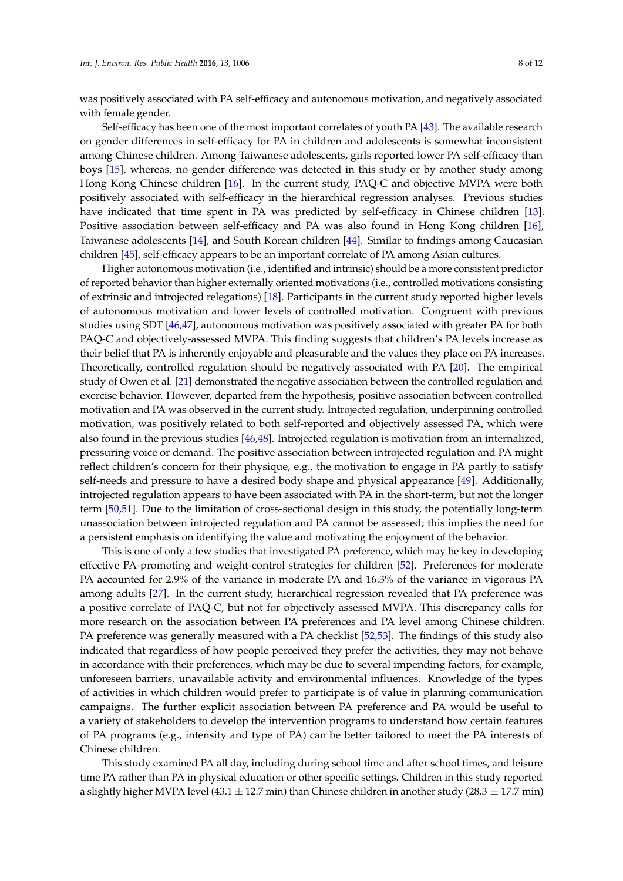was positively associated with PA self-efficacy and autonomous motivation, and negatively associated with female gender.

Self-efficacy has been one of the most important correlates of youth PA [\[43\]](#page-10-17). The available research on gender differences in self-efficacy for PA in children and adolescents is somewhat inconsistent among Chinese children. Among Taiwanese adolescents, girls reported lower PA self-efficacy than boys [\[15\]](#page-9-12), whereas, no gender difference was detected in this study or by another study among Hong Kong Chinese children [\[16\]](#page-9-13). In the current study, PAQ-C and objective MVPA were both positively associated with self-efficacy in the hierarchical regression analyses. Previous studies have indicated that time spent in PA was predicted by self-efficacy in Chinese children [\[13\]](#page-9-10). Positive association between self-efficacy and PA was also found in Hong Kong children [\[16\]](#page-9-13), Taiwanese adolescents [\[14\]](#page-9-11), and South Korean children [\[44\]](#page-10-18). Similar to findings among Caucasian children [\[45\]](#page-10-19), self-efficacy appears to be an important correlate of PA among Asian cultures.

Higher autonomous motivation (i.e., identified and intrinsic) should be a more consistent predictor of reported behavior than higher externally oriented motivations (i.e., controlled motivations consisting of extrinsic and introjected relegations) [\[18\]](#page-9-15). Participants in the current study reported higher levels of autonomous motivation and lower levels of controlled motivation. Congruent with previous studies using SDT [\[46,](#page-10-20)[47\]](#page-11-0), autonomous motivation was positively associated with greater PA for both PAQ-C and objectively-assessed MVPA. This finding suggests that children's PA levels increase as their belief that PA is inherently enjoyable and pleasurable and the values they place on PA increases. Theoretically, controlled regulation should be negatively associated with PA [\[20\]](#page-9-17). The empirical study of Owen et al. [\[21\]](#page-9-18) demonstrated the negative association between the controlled regulation and exercise behavior. However, departed from the hypothesis, positive association between controlled motivation and PA was observed in the current study. Introjected regulation, underpinning controlled motivation, was positively related to both self-reported and objectively assessed PA, which were also found in the previous studies [\[46](#page-10-20)[,48\]](#page-11-1). Introjected regulation is motivation from an internalized, pressuring voice or demand. The positive association between introjected regulation and PA might reflect children's concern for their physique, e.g., the motivation to engage in PA partly to satisfy self-needs and pressure to have a desired body shape and physical appearance [\[49\]](#page-11-2). Additionally, introjected regulation appears to have been associated with PA in the short-term, but not the longer term [\[50](#page-11-3)[,51\]](#page-11-4). Due to the limitation of cross-sectional design in this study, the potentially long-term unassociation between introjected regulation and PA cannot be assessed; this implies the need for a persistent emphasis on identifying the value and motivating the enjoyment of the behavior.

This is one of only a few studies that investigated PA preference, which may be key in developing effective PA-promoting and weight-control strategies for children [\[52\]](#page-11-5). Preferences for moderate PA accounted for 2.9% of the variance in moderate PA and 16.3% of the variance in vigorous PA among adults [\[27\]](#page-10-1). In the current study, hierarchical regression revealed that PA preference was a positive correlate of PAQ-C, but not for objectively assessed MVPA. This discrepancy calls for more research on the association between PA preferences and PA level among Chinese children. PA preference was generally measured with a PA checklist [\[52](#page-11-5)[,53\]](#page-11-6). The findings of this study also indicated that regardless of how people perceived they prefer the activities, they may not behave in accordance with their preferences, which may be due to several impending factors, for example, unforeseen barriers, unavailable activity and environmental influences. Knowledge of the types of activities in which children would prefer to participate is of value in planning communication campaigns. The further explicit association between PA preference and PA would be useful to a variety of stakeholders to develop the intervention programs to understand how certain features of PA programs (e.g., intensity and type of PA) can be better tailored to meet the PA interests of Chinese children.

This study examined PA all day, including during school time and after school times, and leisure time PA rather than PA in physical education or other specific settings. Children in this study reported a slightly higher MVPA level (43.1  $\pm$  12.7 min) than Chinese children in another study (28.3  $\pm$  17.7 min)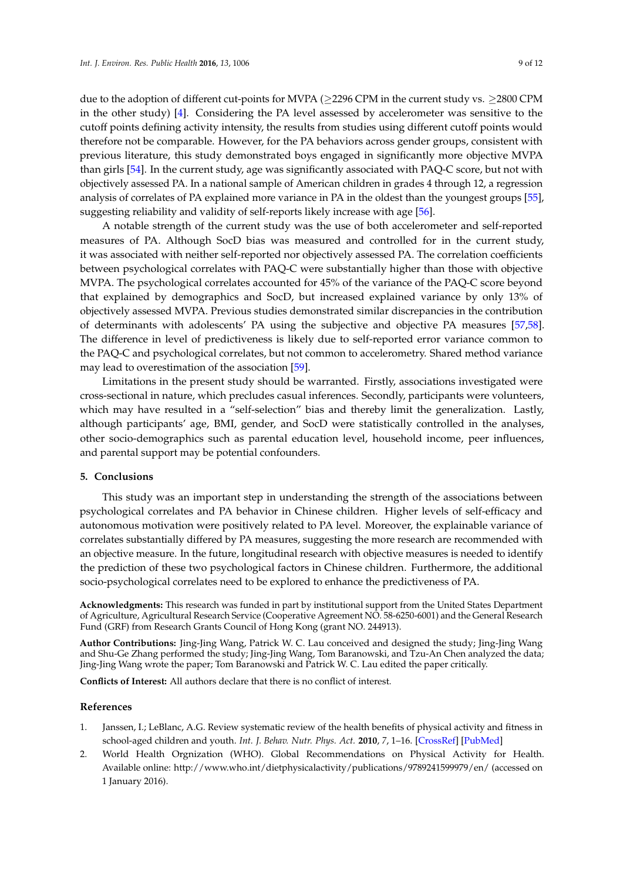due to the adoption of different cut-points for MVPA ( $\geq$ 2296 CPM in the current study vs.  $\geq$ 2800 CPM in the other study) [\[4\]](#page-9-1). Considering the PA level assessed by accelerometer was sensitive to the cutoff points defining activity intensity, the results from studies using different cutoff points would therefore not be comparable. However, for the PA behaviors across gender groups, consistent with previous literature, this study demonstrated boys engaged in significantly more objective MVPA than girls [\[54\]](#page-11-7). In the current study, age was significantly associated with PAQ-C score, but not with objectively assessed PA. In a national sample of American children in grades 4 through 12, a regression analysis of correlates of PA explained more variance in PA in the oldest than the youngest groups [\[55\]](#page-11-8), suggesting reliability and validity of self-reports likely increase with age [\[56\]](#page-11-9).

A notable strength of the current study was the use of both accelerometer and self-reported measures of PA. Although SocD bias was measured and controlled for in the current study, it was associated with neither self-reported nor objectively assessed PA. The correlation coefficients between psychological correlates with PAQ-C were substantially higher than those with objective MVPA. The psychological correlates accounted for 45% of the variance of the PAQ-C score beyond that explained by demographics and SocD, but increased explained variance by only 13% of objectively assessed MVPA. Previous studies demonstrated similar discrepancies in the contribution of determinants with adolescents' PA using the subjective and objective PA measures [\[57,](#page-11-10)[58\]](#page-11-11). The difference in level of predictiveness is likely due to self-reported error variance common to the PAQ-C and psychological correlates, but not common to accelerometry. Shared method variance may lead to overestimation of the association [\[59\]](#page-11-12).

Limitations in the present study should be warranted. Firstly, associations investigated were cross-sectional in nature, which precludes casual inferences. Secondly, participants were volunteers, which may have resulted in a "self-selection" bias and thereby limit the generalization. Lastly, although participants' age, BMI, gender, and SocD were statistically controlled in the analyses, other socio-demographics such as parental education level, household income, peer influences, and parental support may be potential confounders.

### **5. Conclusions**

This study was an important step in understanding the strength of the associations between psychological correlates and PA behavior in Chinese children. Higher levels of self-efficacy and autonomous motivation were positively related to PA level. Moreover, the explainable variance of correlates substantially differed by PA measures, suggesting the more research are recommended with an objective measure. In the future, longitudinal research with objective measures is needed to identify the prediction of these two psychological factors in Chinese children. Furthermore, the additional socio-psychological correlates need to be explored to enhance the predictiveness of PA.

**Acknowledgments:** This research was funded in part by institutional support from the United States Department of Agriculture, Agricultural Research Service (Cooperative Agreement NO. 58-6250-6001) and the General Research Fund (GRF) from Research Grants Council of Hong Kong (grant NO. 244913).

**Author Contributions:** Jing-Jing Wang, Patrick W. C. Lau conceived and designed the study; Jing-Jing Wang and Shu-Ge Zhang performed the study; Jing-Jing Wang, Tom Baranowski, and Tzu-An Chen analyzed the data; Jing-Jing Wang wrote the paper; Tom Baranowski and Patrick W. C. Lau edited the paper critically.

**Conflicts of Interest:** All authors declare that there is no conflict of interest.

#### **References**

- <span id="page-8-0"></span>1. Janssen, I.; LeBlanc, A.G. Review systematic review of the health benefits of physical activity and fitness in school-aged children and youth. *Int. J. Behav. Nutr. Phys. Act.* **2010**, *7*, 1–16. [\[CrossRef\]](http://dx.doi.org/10.1186/1479-5868-7-40) [\[PubMed\]](http://www.ncbi.nlm.nih.gov/pubmed/20459784)
- <span id="page-8-1"></span>2. World Health Orgnization (WHO). Global Recommendations on Physical Activity for Health. Available online: <http://www.who.int/dietphysicalactivity/publications/9789241599979/en/> (accessed on 1 January 2016).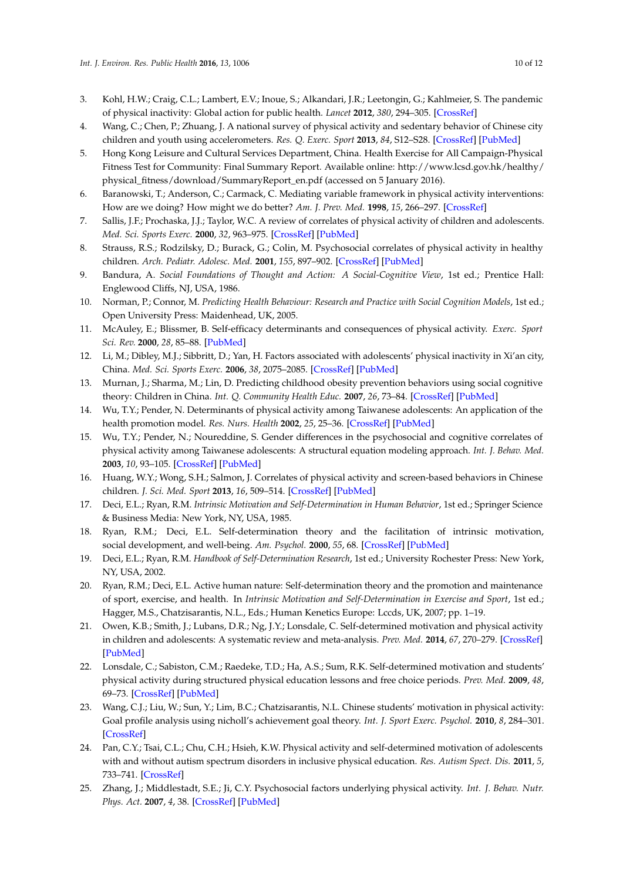- <span id="page-9-0"></span>3. Kohl, H.W.; Craig, C.L.; Lambert, E.V.; Inoue, S.; Alkandari, J.R.; Leetongin, G.; Kahlmeier, S. The pandemic of physical inactivity: Global action for public health. *Lancet* **2012**, *380*, 294–305. [\[CrossRef\]](http://dx.doi.org/10.1016/S0140-6736(12)60898-8)
- <span id="page-9-1"></span>4. Wang, C.; Chen, P.; Zhuang, J. A national survey of physical activity and sedentary behavior of Chinese city children and youth using accelerometers. *Res. Q. Exerc. Sport* **2013**, *84*, S12–S28. [\[CrossRef\]](http://dx.doi.org/10.1080/02701367.2013.850993) [\[PubMed\]](http://www.ncbi.nlm.nih.gov/pubmed/24527563)
- <span id="page-9-2"></span>5. Hong Kong Leisure and Cultural Services Department, China. Health Exercise for All Campaign-Physical Fitness Test for Community: Final Summary Report. Available online: [http://www.lcsd.gov.hk/healthy/](http://www.lcsd.gov.hk/healthy/physical_fitness/download/SummaryReport_en.pdf) [physical\\_fitness/download/SummaryReport\\_en.pdf](http://www.lcsd.gov.hk/healthy/physical_fitness/download/SummaryReport_en.pdf) (accessed on 5 January 2016).
- <span id="page-9-3"></span>6. Baranowski, T.; Anderson, C.; Carmack, C. Mediating variable framework in physical activity interventions: How are we doing? How might we do better? *Am. J. Prev. Med.* **1998**, *15*, 266–297. [\[CrossRef\]](http://dx.doi.org/10.1016/S0749-3797(98)00080-4)
- <span id="page-9-4"></span>7. Sallis, J.F.; Prochaska, J.J.; Taylor, W.C. A review of correlates of physical activity of children and adolescents. *Med. Sci. Sports Exerc.* **2000**, *32*, 963–975. [\[CrossRef\]](http://dx.doi.org/10.1097/00005768-200005000-00014) [\[PubMed\]](http://www.ncbi.nlm.nih.gov/pubmed/10795788)
- <span id="page-9-5"></span>8. Strauss, R.S.; Rodzilsky, D.; Burack, G.; Colin, M. Psychosocial correlates of physical activity in healthy children. *Arch. Pediatr. Adolesc. Med.* **2001**, *155*, 897–902. [\[CrossRef\]](http://dx.doi.org/10.1001/archpedi.155.8.897) [\[PubMed\]](http://www.ncbi.nlm.nih.gov/pubmed/11483116)
- <span id="page-9-6"></span>9. Bandura, A. *Social Foundations of Thought and Action: A Social-Cognitive View*, 1st ed.; Prentice Hall: Englewood Cliffs, NJ, USA, 1986.
- <span id="page-9-7"></span>10. Norman, P.; Connor, M. Predicting Health Behaviour: Research and Practice with Social Cognition Models, 1st ed.; Open University Press: Maidenhead, UK, 2005.
- <span id="page-9-8"></span>11. McAuley, E.; Blissmer, B. Self-efficacy determinants and consequences of physical activity. *Exerc. Sport Sci. Rev.* **2000**, *28*, 85–88. [\[PubMed\]](http://www.ncbi.nlm.nih.gov/pubmed/10902091)
- <span id="page-9-9"></span>12. Li, M.; Dibley, M.J.; Sibbritt, D.; Yan, H. Factors associated with adolescents' physical inactivity in Xi'an city, China. *Med. Sci. Sports Exerc.* **2006**, *38*, 2075–2085. [\[CrossRef\]](http://dx.doi.org/10.1249/01.mss.0000233802.54529.87) [\[PubMed\]](http://www.ncbi.nlm.nih.gov/pubmed/17146313)
- <span id="page-9-10"></span>13. Murnan, J.; Sharma, M.; Lin, D. Predicting childhood obesity prevention behaviors using social cognitive theory: Children in China. *Int. Q. Community Health Educ.* **2007**, *26*, 73–84. [\[CrossRef\]](http://dx.doi.org/10.2190/RV25-395T-25N3-PN14) [\[PubMed\]](http://www.ncbi.nlm.nih.gov/pubmed/17686715)
- <span id="page-9-11"></span>14. Wu, T.Y.; Pender, N. Determinants of physical activity among Taiwanese adolescents: An application of the health promotion model. *Res. Nurs. Health* **2002**, *25*, 25–36. [\[CrossRef\]](http://dx.doi.org/10.1002/nur.10021) [\[PubMed\]](http://www.ncbi.nlm.nih.gov/pubmed/11807917)
- <span id="page-9-12"></span>15. Wu, T.Y.; Pender, N.; Noureddine, S. Gender differences in the psychosocial and cognitive correlates of physical activity among Taiwanese adolescents: A structural equation modeling approach. *Int. J. Behav. Med.* **2003**, *10*, 93–105. [\[CrossRef\]](http://dx.doi.org/10.1207/S15327558IJBM1002_01) [\[PubMed\]](http://www.ncbi.nlm.nih.gov/pubmed/12763704)
- <span id="page-9-13"></span>16. Huang, W.Y.; Wong, S.H.; Salmon, J. Correlates of physical activity and screen-based behaviors in Chinese children. *J. Sci. Med. Sport* **2013**, *16*, 509–514. [\[CrossRef\]](http://dx.doi.org/10.1016/j.jsams.2012.12.011) [\[PubMed\]](http://www.ncbi.nlm.nih.gov/pubmed/23375485)
- <span id="page-9-14"></span>17. Deci, E.L.; Ryan, R.M. *Intrinsic Motivation and Self-Determination in Human Behavior*, 1st ed.; Springer Science & Business Media: New York, NY, USA, 1985.
- <span id="page-9-15"></span>18. Ryan, R.M.; Deci, E.L. Self-determination theory and the facilitation of intrinsic motivation, social development, and well-being. *Am. Psychol.* **2000**, *55*, 68. [\[CrossRef\]](http://dx.doi.org/10.1037/0003-066X.55.1.68) [\[PubMed\]](http://www.ncbi.nlm.nih.gov/pubmed/11392867)
- <span id="page-9-16"></span>19. Deci, E.L.; Ryan, R.M. *Handbook of Self-Determination Research*, 1st ed.; University Rochester Press: New York, NY, USA, 2002.
- <span id="page-9-17"></span>20. Ryan, R.M.; Deci, E.L. Active human nature: Self-determination theory and the promotion and maintenance of sport, exercise, and health. In *Intrinsic Motivation and Self-Determination in Exercise and Sport*, 1st ed.; Hagger, M.S., Chatzisarantis, N.L., Eds.; Human Kenetics Europe: Lccds, UK, 2007; pp. 1–19.
- <span id="page-9-18"></span>21. Owen, K.B.; Smith, J.; Lubans, D.R.; Ng, J.Y.; Lonsdale, C. Self-determined motivation and physical activity in children and adolescents: A systematic review and meta-analysis. *Prev. Med.* **2014**, *67*, 270–279. [\[CrossRef\]](http://dx.doi.org/10.1016/j.ypmed.2014.07.033) [\[PubMed\]](http://www.ncbi.nlm.nih.gov/pubmed/25073077)
- <span id="page-9-19"></span>22. Lonsdale, C.; Sabiston, C.M.; Raedeke, T.D.; Ha, A.S.; Sum, R.K. Self-determined motivation and students' physical activity during structured physical education lessons and free choice periods. *Prev. Med.* **2009**, *48*, 69–73. [\[CrossRef\]](http://dx.doi.org/10.1016/j.ypmed.2008.09.013) [\[PubMed\]](http://www.ncbi.nlm.nih.gov/pubmed/18996143)
- <span id="page-9-20"></span>23. Wang, C.J.; Liu, W.; Sun, Y.; Lim, B.C.; Chatzisarantis, N.L. Chinese students' motivation in physical activity: Goal profile analysis using nicholl's achievement goal theory. *Int. J. Sport Exerc. Psychol.* **2010**, *8*, 284–301. [\[CrossRef\]](http://dx.doi.org/10.1080/1612197X.2010.9671954)
- <span id="page-9-21"></span>24. Pan, C.Y.; Tsai, C.L.; Chu, C.H.; Hsieh, K.W. Physical activity and self-determined motivation of adolescents with and without autism spectrum disorders in inclusive physical education. *Res. Autism Spect. Dis.* **2011**, *5*, 733–741. [\[CrossRef\]](http://dx.doi.org/10.1016/j.rasd.2010.08.007)
- <span id="page-9-22"></span>25. Zhang, J.; Middlestadt, S.E.; Ji, C.Y. Psychosocial factors underlying physical activity. *Int. J. Behav. Nutr. Phys. Act.* **2007**, *4*, 38. [\[CrossRef\]](http://dx.doi.org/10.1186/1479-5868-4-38) [\[PubMed\]](http://www.ncbi.nlm.nih.gov/pubmed/17880688)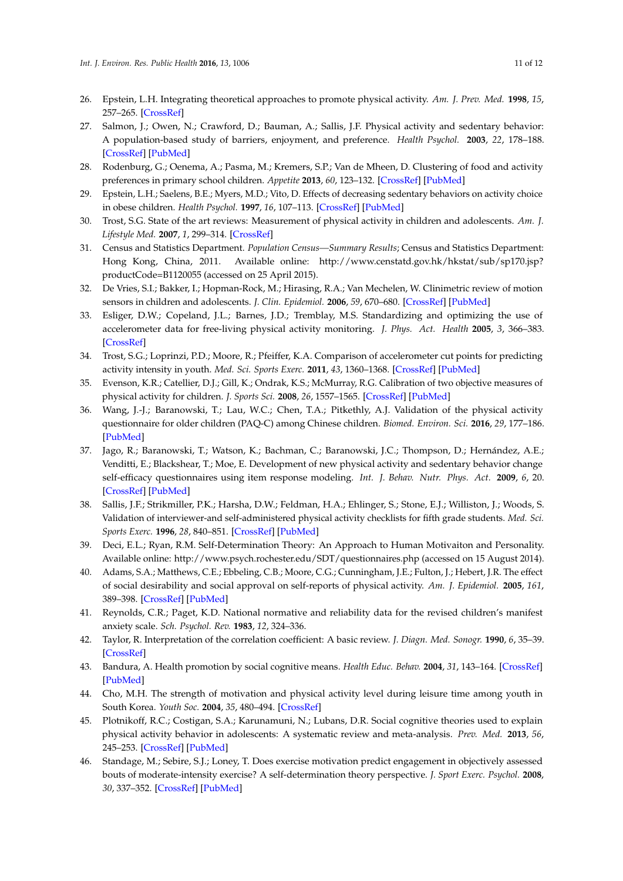- <span id="page-10-0"></span>26. Epstein, L.H. Integrating theoretical approaches to promote physical activity. *Am. J. Prev. Med.* **1998**, *15*, 257–265. [\[CrossRef\]](http://dx.doi.org/10.1016/S0749-3797(98)00083-X)
- <span id="page-10-1"></span>27. Salmon, J.; Owen, N.; Crawford, D.; Bauman, A.; Sallis, J.F. Physical activity and sedentary behavior: A population-based study of barriers, enjoyment, and preference. *Health Psychol.* **2003**, *22*, 178–188. [\[CrossRef\]](http://dx.doi.org/10.1037/0278-6133.22.2.178) [\[PubMed\]](http://www.ncbi.nlm.nih.gov/pubmed/12683738)
- <span id="page-10-2"></span>28. Rodenburg, G.; Oenema, A.; Pasma, M.; Kremers, S.P.; Van de Mheen, D. Clustering of food and activity preferences in primary school children. *Appetite* **2013**, *60*, 123–132. [\[CrossRef\]](http://dx.doi.org/10.1016/j.appet.2012.10.007) [\[PubMed\]](http://www.ncbi.nlm.nih.gov/pubmed/23085278)
- <span id="page-10-3"></span>29. Epstein, L.H.; Saelens, B.E.; Myers, M.D.; Vito, D. Effects of decreasing sedentary behaviors on activity choice in obese children. *Health Psychol.* **1997**, *16*, 107–113. [\[CrossRef\]](http://dx.doi.org/10.1037/0278-6133.16.2.107) [\[PubMed\]](http://www.ncbi.nlm.nih.gov/pubmed/9269880)
- <span id="page-10-4"></span>30. Trost, S.G. State of the art reviews: Measurement of physical activity in children and adolescents. *Am. J. Lifestyle Med.* **2007**, *1*, 299–314. [\[CrossRef\]](http://dx.doi.org/10.1177/1559827607301686)
- <span id="page-10-5"></span>31. Census and Statistics Department. *Population Census—Summary Results*; Census and Statistics Department: Hong Kong, China, 2011. Available online: [http://www.censtatd.gov.hk/hkstat/sub/sp170.jsp?](http://www.censtatd.gov.hk/hkstat/sub/sp170.jsp?productCode=B1120055) [productCode=B1120055](http://www.censtatd.gov.hk/hkstat/sub/sp170.jsp?productCode=B1120055) (accessed on 25 April 2015).
- <span id="page-10-6"></span>32. De Vries, S.I.; Bakker, I.; Hopman-Rock, M.; Hirasing, R.A.; Van Mechelen, W. Clinimetric review of motion sensors in children and adolescents. *J. Clin. Epidemiol.* **2006**, *59*, 670–680. [\[CrossRef\]](http://dx.doi.org/10.1016/j.jclinepi.2005.11.020) [\[PubMed\]](http://www.ncbi.nlm.nih.gov/pubmed/16765269)
- <span id="page-10-7"></span>33. Esliger, D.W.; Copeland, J.L.; Barnes, J.D.; Tremblay, M.S. Standardizing and optimizing the use of accelerometer data for free-living physical activity monitoring. *J. Phys. Act. Health* **2005**, *3*, 366–383. [\[CrossRef\]](http://dx.doi.org/10.1123/jpah.2.3.366)
- <span id="page-10-8"></span>34. Trost, S.G.; Loprinzi, P.D.; Moore, R.; Pfeiffer, K.A. Comparison of accelerometer cut points for predicting activity intensity in youth. *Med. Sci. Sports Exerc.* **2011**, *43*, 1360–1368. [\[CrossRef\]](http://dx.doi.org/10.1249/MSS.0b013e318206476e) [\[PubMed\]](http://www.ncbi.nlm.nih.gov/pubmed/21131873)
- <span id="page-10-9"></span>35. Evenson, K.R.; Catellier, D.J.; Gill, K.; Ondrak, K.S.; McMurray, R.G. Calibration of two objective measures of physical activity for children. *J. Sports Sci.* **2008**, *26*, 1557–1565. [\[CrossRef\]](http://dx.doi.org/10.1080/02640410802334196) [\[PubMed\]](http://www.ncbi.nlm.nih.gov/pubmed/18949660)
- <span id="page-10-10"></span>36. Wang, J.-J.; Baranowski, T.; Lau, W.C.; Chen, T.A.; Pitkethly, A.J. Validation of the physical activity questionnaire for older children (PAQ-C) among Chinese children. *Biomed. Environ. Sci.* **2016**, *29*, 177–186. [\[PubMed\]](http://www.ncbi.nlm.nih.gov/pubmed/27109128)
- <span id="page-10-11"></span>37. Jago, R.; Baranowski, T.; Watson, K.; Bachman, C.; Baranowski, J.C.; Thompson, D.; Hernández, A.E.; Venditti, E.; Blackshear, T.; Moe, E. Development of new physical activity and sedentary behavior change self-efficacy questionnaires using item response modeling. *Int. J. Behav. Nutr. Phys. Act.* **2009**, *6*, 20. [\[CrossRef\]](http://dx.doi.org/10.1186/1479-5868-6-20) [\[PubMed\]](http://www.ncbi.nlm.nih.gov/pubmed/19335875)
- <span id="page-10-12"></span>38. Sallis, J.F.; Strikmiller, P.K.; Harsha, D.W.; Feldman, H.A.; Ehlinger, S.; Stone, E.J.; Williston, J.; Woods, S. Validation of interviewer-and self-administered physical activity checklists for fifth grade students. *Med. Sci. Sports Exerc.* **1996**, *28*, 840–851. [\[CrossRef\]](http://dx.doi.org/10.1097/00005768-199607000-00011) [\[PubMed\]](http://www.ncbi.nlm.nih.gov/pubmed/8832538)
- <span id="page-10-13"></span>39. Deci, E.L.; Ryan, R.M. Self-Determination Theory: An Approach to Human Motivaiton and Personality. Available online: <http://www.psych.rochester.edu/SDT/questionnaires.php> (accessed on 15 August 2014).
- <span id="page-10-14"></span>40. Adams, S.A.; Matthews, C.E.; Ebbeling, C.B.; Moore, C.G.; Cunningham, J.E.; Fulton, J.; Hebert, J.R. The effect of social desirability and social approval on self-reports of physical activity. *Am. J. Epidemiol.* **2005**, *161*, 389–398. [\[CrossRef\]](http://dx.doi.org/10.1093/aje/kwi054) [\[PubMed\]](http://www.ncbi.nlm.nih.gov/pubmed/15692083)
- <span id="page-10-15"></span>41. Reynolds, C.R.; Paget, K.D. National normative and reliability data for the revised children's manifest anxiety scale. *Sch. Psychol. Rev.* **1983**, *12*, 324–336.
- <span id="page-10-16"></span>42. Taylor, R. Interpretation of the correlation coefficient: A basic review. *J. Diagn. Med. Sonogr.* **1990**, *6*, 35–39. [\[CrossRef\]](http://dx.doi.org/10.1177/875647939000600106)
- <span id="page-10-17"></span>43. Bandura, A. Health promotion by social cognitive means. *Health Educ. Behav.* **2004**, *31*, 143–164. [\[CrossRef\]](http://dx.doi.org/10.1177/1090198104263660) [\[PubMed\]](http://www.ncbi.nlm.nih.gov/pubmed/15090118)
- <span id="page-10-18"></span>44. Cho, M.H. The strength of motivation and physical activity level during leisure time among youth in South Korea. *Youth Soc.* **2004**, *35*, 480–494. [\[CrossRef\]](http://dx.doi.org/10.1177/0044118X03258242)
- <span id="page-10-19"></span>45. Plotnikoff, R.C.; Costigan, S.A.; Karunamuni, N.; Lubans, D.R. Social cognitive theories used to explain physical activity behavior in adolescents: A systematic review and meta-analysis. *Prev. Med.* **2013**, *56*, 245–253. [\[CrossRef\]](http://dx.doi.org/10.1016/j.ypmed.2013.01.013) [\[PubMed\]](http://www.ncbi.nlm.nih.gov/pubmed/23370047)
- <span id="page-10-20"></span>46. Standage, M.; Sebire, S.J.; Loney, T. Does exercise motivation predict engagement in objectively assessed bouts of moderate-intensity exercise? A self-determination theory perspective. *J. Sport Exerc. Psychol.* **2008**, *30*, 337–352. [\[CrossRef\]](http://dx.doi.org/10.1123/jsep.30.4.337) [\[PubMed\]](http://www.ncbi.nlm.nih.gov/pubmed/18723896)